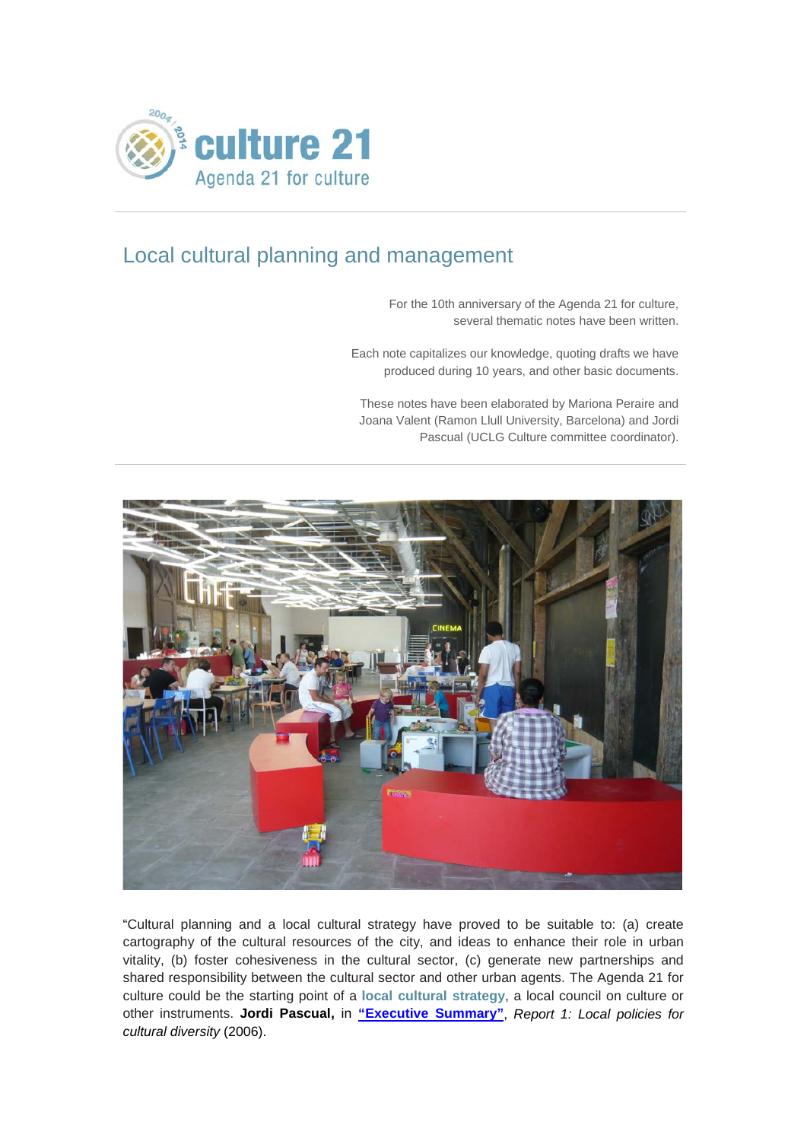

## Local cultural planning and management

For the 10th anniversary of the Agenda 21 for culture, several thematic notes have been written.

Each note capitalizes our knowledge, quoting drafts we have produced during 10 years, and other basic documents.

These notes have been elaborated by Mariona Peraire and Joana Valent (Ramon Llull University, Barcelona) and Jordi Pascual (UCLG Culture committee coordinator).



"Cultural planning and a local cultural strategy have proved to be suitable to: (a) create cartography of the cultural resources of the city, and ideas to enhance their role in urban vitality, (b) foster cohesiveness in the cultural sector, (c) generate new partnerships and shared responsibility between the cultural sector and other urban agents. The Agenda 21 for culture could be the starting point of a **local cultural strategy**, a local council on culture or other instruments. **Jordi Pascual,** in **["Executive Summary"](http://www.agenda21culture.net/index.php/46-official-documentation-all/reports-all/369-report-1-local-policies-for-cultural-diversity)**, *Report 1: Local policies for cultural diversity* (2006).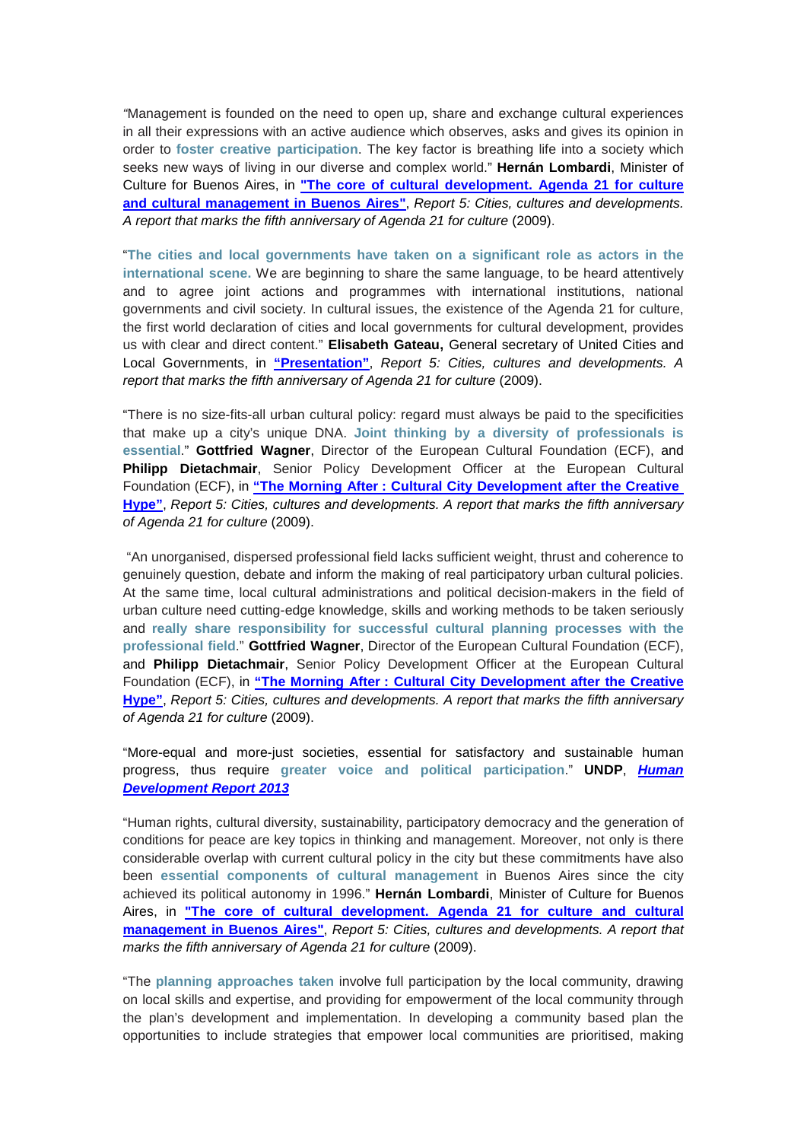*"*Management is founded on the need to open up, share and exchange cultural experiences in all their expressions with an active audience which observes, asks and gives its opinion in order to **foster creative participation**. The key factor is breathing life into a society which seeks new ways of living in our diverse and complex world." **Hernán Lombardi**, Minister of Culture for Buenos Aires, in **["The core of cultural development.](http://www.agenda21culture.net/index.php/fr/47-official-documentation/rapports/371-rapport-5-villes-cultures-et-developpements-un-rapport-pour-souligner-le-cinquieme-anniversaire-de-l-agenda-21-de-la-culture) Agenda 21 for culture [and cultural management in Buenos Aires"](http://www.agenda21culture.net/index.php/fr/47-official-documentation/rapports/371-rapport-5-villes-cultures-et-developpements-un-rapport-pour-souligner-le-cinquieme-anniversaire-de-l-agenda-21-de-la-culture)**, *Report 5: Cities, cultures and developments. A report that marks the fifth anniversary of Agenda 21 for culture* (2009).

"**The cities and local governments have taken on a significant role as actors in the international scene.** We are beginning to share the same language, to be heard attentively and to agree joint actions and programmes with international institutions, national governments and civil society. In cultural issues, the existence of the Agenda 21 for culture, the first world declaration of cities and local governments for cultural development, provides us with clear and direct content." **Elisabeth Gateau,** General secretary of United Cities and Local Governments, in **["Presentation"](http://www.agenda21culture.net/index.php/fr/47-official-documentation/rapports/371-rapport-5-villes-cultures-et-developpements-un-rapport-pour-souligner-le-cinquieme-anniversaire-de-l-agenda-21-de-la-culture)**, *Report 5: Cities, cultures and developments. A report that marks the fifth anniversary of Agenda 21 for culture* (2009).

"There is no size-fits-all urban cultural policy: regard must always be paid to the specificities that make up a city's unique DNA. **Joint thinking by a diversity of professionals is essential**." **Gottfried Wagner**, Director of the European Cultural Foundation (ECF), and **Philipp Dietachmair**, Senior Policy Development Officer at the European Cultural Foundation (ECF), in **"The Morning After [: Cultural City Development](http://www.agenda21culture.net/index.php/46-official-documentation-all/reports-all/365-report-5-cities-cultures-and-developments-a-report-that-marks-the-fifth-anniversary-of-agenda-21-for-culture) after the Creative [Hype"](http://www.agenda21culture.net/index.php/46-official-documentation-all/reports-all/365-report-5-cities-cultures-and-developments-a-report-that-marks-the-fifth-anniversary-of-agenda-21-for-culture)**, *Report 5: Cities, cultures and developments. A report that marks the fifth anniversary of Agenda 21 for culture* (2009).

"An unorganised, dispersed professional field lacks sufficient weight, thrust and coherence to genuinely question, debate and inform the making of real participatory urban cultural policies. At the same time, local cultural administrations and political decision-makers in the field of urban culture need cutting-edge knowledge, skills and working methods to be taken seriously and **really share responsibility for successful cultural planning processes with the professional field**." **Gottfried Wagner**, Director of the European Cultural Foundation (ECF), and **Philipp Dietachmair**, Senior Policy Development Officer at the European Cultural Foundation (ECF), in **"The Morning After [: Cultural City Development after the Creative](http://www.agenda21culture.net/index.php/46-official-documentation-all/reports-all/365-report-5-cities-cultures-and-developments-a-report-that-marks-the-fifth-anniversary-of-agenda-21-for-culture)  [Hype"](http://www.agenda21culture.net/index.php/46-official-documentation-all/reports-all/365-report-5-cities-cultures-and-developments-a-report-that-marks-the-fifth-anniversary-of-agenda-21-for-culture)**, *Report 5: Cities, cultures and developments. A report that marks the fifth anniversary of Agenda 21 for culture* (2009).

"More-equal and more-just societies, essential for satisfactory and sustainable human progress, thus require **greater voice and political participation**." **UNDP**, *[Human](http://hdr.undp.org/en/2013-report)  [Development Report 2013](http://hdr.undp.org/en/2013-report)*

"Human rights, cultural diversity, sustainability, participatory democracy and the generation of conditions for peace are key topics in thinking and management. Moreover, not only is there considerable overlap with current cultural policy in the city but these commitments have also been **essential components of cultural management** in Buenos Aires since the city achieved its political autonomy in 1996." **Hernán Lombardi**, Minister of Culture for Buenos Aires, in **"The core of cultural development. [Agenda 21 for culture and cultural](http://www.agenda21culture.net/index.php/fr/47-official-documentation/rapports/371-rapport-5-villes-cultures-et-developpements-un-rapport-pour-souligner-le-cinquieme-anniversaire-de-l-agenda-21-de-la-culture)  [management in Buenos Aires"](http://www.agenda21culture.net/index.php/fr/47-official-documentation/rapports/371-rapport-5-villes-cultures-et-developpements-un-rapport-pour-souligner-le-cinquieme-anniversaire-de-l-agenda-21-de-la-culture)**, *Report 5: Cities, cultures and developments. A report that marks the fifth anniversary of Agenda 21 for culture* (2009).

"The **planning approaches taken** involve full participation by the local community, drawing on local skills and expertise, and providing for empowerment of the local community through the plan's development and implementation. In developing a community based plan the opportunities to include strategies that empower local communities are prioritised, making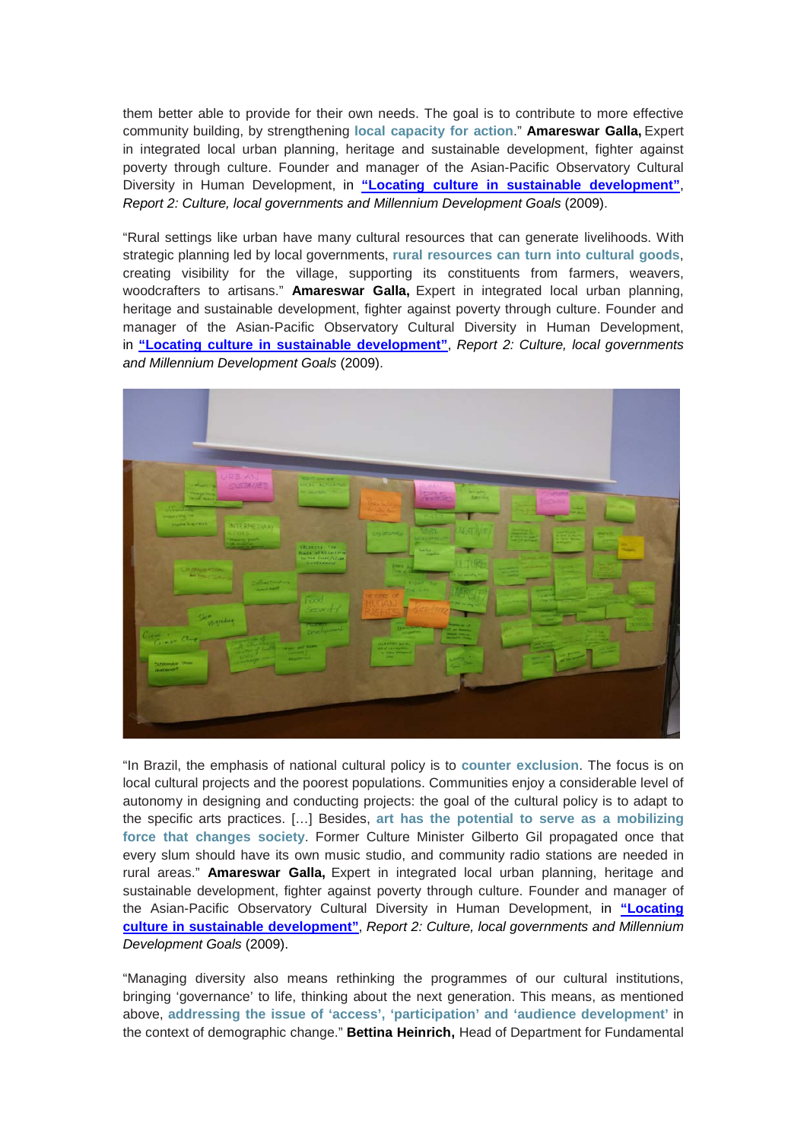them better able to provide for their own needs. The goal is to contribute to more effective community building, by strengthening **local capacity for action**." **Amareswar Galla,** Expert in integrated local urban planning, heritage and sustainable development, fighter against poverty through culture. Founder and manager of the Asian-Pacific Observatory Cultural Diversity in Human Development, in **["Locating culture in sustainable development"](http://www.agenda21culture.net/index.php/46-official-documentation-all/reports-all/368-report-2-culture-local-governments-and-millennium-development-goals)**, *Report 2: Culture, local governments and Millennium Development Goals* (2009).

"Rural settings like urban have many cultural resources that can generate livelihoods. With strategic planning led by local governments, **rural resources can turn into cultural goods**, creating visibility for the village, supporting its constituents from farmers, weavers, woodcrafters to artisans." **Amareswar Galla,** Expert in integrated local urban planning, heritage and sustainable development, fighter against poverty through culture. Founder and manager of the Asian-Pacific Observatory Cultural Diversity in Human Development, in **["Locating culture in sustainable development"](http://www.agenda21culture.net/index.php/46-official-documentation-all/reports-all/368-report-2-culture-local-governments-and-millennium-development-goals)**, *Report 2: Culture, local governments and Millennium Development Goals* (2009).



"In Brazil, the emphasis of national cultural policy is to **counter exclusion**. The focus is on local cultural projects and the poorest populations. Communities enjoy a considerable level of autonomy in designing and conducting projects: the goal of the cultural policy is to adapt to the specific arts practices. […] Besides, **art has the potential to serve as a mobilizing force that changes society**. Former Culture Minister Gilberto Gil propagated once that every slum should have its own music studio, and community radio stations are needed in rural areas." **Amareswar Galla,** Expert in integrated local urban planning, heritage and sustainable development, fighter against poverty through culture. Founder and manager of the Asian-Pacific Observatory Cultural Diversity in Human Development, in **["Locating](http://www.agenda21culture.net/index.php/46-official-documentation-all/reports-all/368-report-2-culture-local-governments-and-millennium-development-goals)  [culture in sustainable development"](http://www.agenda21culture.net/index.php/46-official-documentation-all/reports-all/368-report-2-culture-local-governments-and-millennium-development-goals)**, *Report 2: Culture, local governments and Millennium Development Goals* (2009).

"Managing diversity also means rethinking the programmes of our cultural institutions, bringing 'governance' to life, thinking about the next generation. This means, as mentioned above, **addressing the issue of 'access', 'participation' and 'audience development'** in the context of demographic change." **Bettina Heinrich,** Head of Department for Fundamental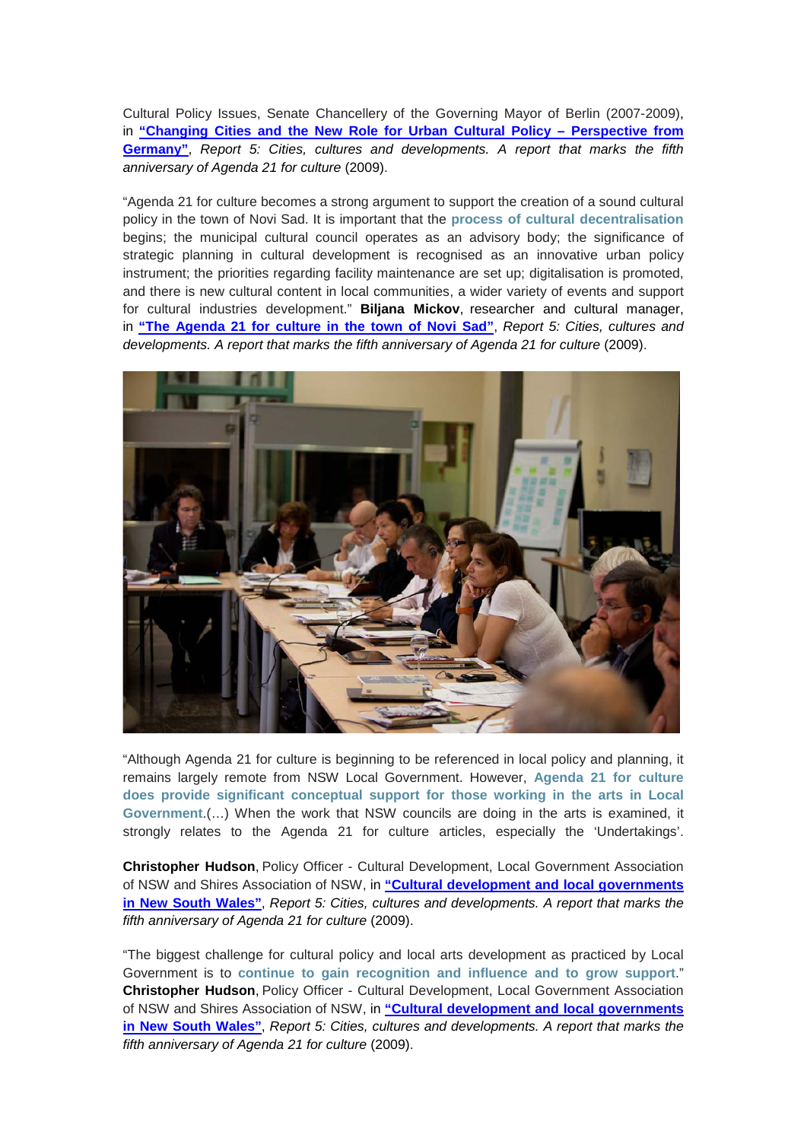Cultural Policy Issues, Senate Chancellery of the Governing Mayor of Berlin (2007-2009), in **["Changing Cities and the New Role for Urban Cultural Policy –](http://www.agenda21culture.net/index.php/46-official-documentation-all/reports-all/365-report-5-cities-cultures-and-developments-a-report-that-marks-the-fifth-anniversary-of-agenda-21-for-culture) Perspective from [Germany"](http://www.agenda21culture.net/index.php/46-official-documentation-all/reports-all/365-report-5-cities-cultures-and-developments-a-report-that-marks-the-fifth-anniversary-of-agenda-21-for-culture)**, *Report 5: Cities, cultures and developments. A report that marks the fifth anniversary of Agenda 21 for culture* (2009).

"Agenda 21 for culture becomes a strong argument to support the creation of a sound cultural policy in the town of Novi Sad. It is important that the **process of cultural decentralisation** begins; the municipal cultural council operates as an advisory body; the significance of strategic planning in cultural development is recognised as an innovative urban policy instrument; the priorities regarding facility maintenance are set up; digitalisation is promoted, and there is new cultural content in local communities, a wider variety of events and support for cultural industries development." **Biljana Mickov**, researcher and cultural manager, in **["The Agenda 21 for culture in the town of Novi](http://www.agenda21culture.net/index.php/46-official-documentation-all/reports-all/365-report-5-cities-cultures-and-developments-a-report-that-marks-the-fifth-anniversary-of-agenda-21-for-culture) Sad"**, *Report 5: Cities, cultures and developments. A report that marks the fifth anniversary of Agenda 21 for culture* (2009).



"Although Agenda 21 for culture is beginning to be referenced in local policy and planning, it remains largely remote from NSW Local Government. However, **Agenda 21 for culture does provide significant conceptual support for those working in the arts in Local Government**.(…) When the work that NSW councils are doing in the arts is examined, it strongly relates to the Agenda 21 for culture articles, especially the 'Undertakings'.

**Christopher Hudson**, Policy Officer - Cultural Development, Local Government Association of NSW and Shires Association of NSW, in **["Cultural development and local governments](http://www.agenda21culture.net/index.php/46-official-documentation-all/reports-all/365-report-5-cities-cultures-and-developments-a-report-that-marks-the-fifth-anniversary-of-agenda-21-for-culture)  [in New South Wales"](http://www.agenda21culture.net/index.php/46-official-documentation-all/reports-all/365-report-5-cities-cultures-and-developments-a-report-that-marks-the-fifth-anniversary-of-agenda-21-for-culture)**, *Report 5: Cities, cultures and developments. A report that marks the fifth anniversary of Agenda 21 for culture* (2009).

"The biggest challenge for cultural policy and local arts development as practiced by Local Government is to **continue to gain recognition and influence and to grow support**." **Christopher Hudson**, Policy Officer - Cultural Development, Local Government Association of NSW and Shires Association of NSW, in **["Cultural development and local governments](http://www.agenda21culture.net/index.php/46-official-documentation-all/reports-all/365-report-5-cities-cultures-and-developments-a-report-that-marks-the-fifth-anniversary-of-agenda-21-for-culture)  [in New South Wales"](http://www.agenda21culture.net/index.php/46-official-documentation-all/reports-all/365-report-5-cities-cultures-and-developments-a-report-that-marks-the-fifth-anniversary-of-agenda-21-for-culture)**, *Report 5: Cities, cultures and developments. A report that marks the fifth anniversary of Agenda 21 for culture* (2009).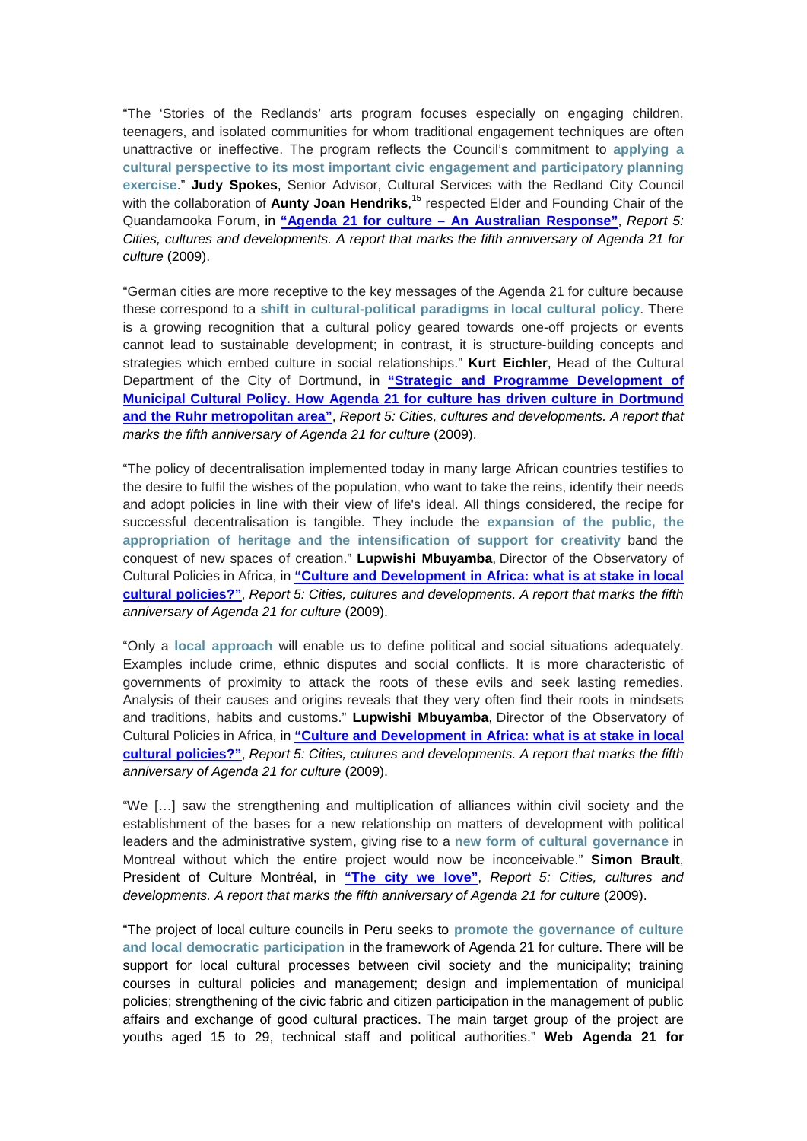"The 'Stories of the Redlands' arts program focuses especially on engaging children, teenagers, and isolated communities for whom traditional engagement techniques are often unattractive or ineffective. The program reflects the Council's commitment to **applying a cultural perspective to its most important civic engagement and participatory planning exercise**." **Judy Spokes**, Senior Advisor, Cultural Services with the Redland City Council with the collaboration of **Aunty Joan Hendriks**, <sup>15</sup> respected Elder and Founding Chair of the Quandamooka Forum, in **"Agenda 21 for culture – [An Australian Response"](http://www.agenda21culture.net/index.php/46-official-documentation-all/reports-all/365-report-5-cities-cultures-and-developments-a-report-that-marks-the-fifth-anniversary-of-agenda-21-for-culture)**, *Report 5: Cities, cultures and developments. A report that marks the fifth anniversary of Agenda 21 for culture* (2009).

"German cities are more receptive to the key messages of the Agenda 21 for culture because these correspond to a **shift in cultural-political paradigms in local cultural policy**. There is a growing recognition that a cultural policy geared towards one-off projects or events cannot lead to sustainable development; in contrast, it is structure-building concepts and strategies which embed culture in social relationships." **Kurt Eichler**, Head of the Cultural Department of the City of Dortmund, in "Strategic and Programme Development of **[Municipal Cultural Policy. How Agenda 21 for culture has driven culture in Dortmund](http://www.agenda21culture.net/index.php/46-official-documentation-all/reports-all/365-report-5-cities-cultures-and-developments-a-report-that-marks-the-fifth-anniversary-of-agenda-21-for-culture)  [and the Ruhr metropolitan area"](http://www.agenda21culture.net/index.php/46-official-documentation-all/reports-all/365-report-5-cities-cultures-and-developments-a-report-that-marks-the-fifth-anniversary-of-agenda-21-for-culture)**, *Report 5: Cities, cultures and developments. A report that marks the fifth anniversary of Agenda 21 for culture* (2009).

"The policy of decentralisation implemented today in many large African countries testifies to the desire to fulfil the wishes of the population, who want to take the reins, identify their needs and adopt policies in line with their view of life's ideal. All things considered, the recipe for successful decentralisation is tangible. They include the **expansion of the public, the appropriation of heritage and the intensification of support for creativity** band the conquest of new spaces of creation." **Lupwishi Mbuyamba**, Director of the Observatory of Cultural Policies in Africa, in **["Culture and Development in Africa: what is at stake in local](http://www.agenda21culture.net/index.php/46-official-documentation-all/reports-all/365-report-5-cities-cultures-and-developments-a-report-that-marks-the-fifth-anniversary-of-agenda-21-for-culture)  [cultural policies?"](http://www.agenda21culture.net/index.php/46-official-documentation-all/reports-all/365-report-5-cities-cultures-and-developments-a-report-that-marks-the-fifth-anniversary-of-agenda-21-for-culture)**, *Report 5: Cities, cultures and developments. A report that marks the fifth anniversary of Agenda 21 for culture* (2009).

"Only a **local approach** will enable us to define political and social situations adequately. Examples include crime, ethnic disputes and social conflicts. It is more characteristic of governments of proximity to attack the roots of these evils and seek lasting remedies. Analysis of their causes and origins reveals that they very often find their roots in mindsets and traditions, habits and customs." **Lupwishi Mbuyamba**, Director of the Observatory of Cultural Policies in Africa, in **["Culture and Development in Africa: what is at](http://www.agenda21culture.net/index.php/46-official-documentation-all/reports-all/365-report-5-cities-cultures-and-developments-a-report-that-marks-the-fifth-anniversary-of-agenda-21-for-culture) stake in local [cultural policies?"](http://www.agenda21culture.net/index.php/46-official-documentation-all/reports-all/365-report-5-cities-cultures-and-developments-a-report-that-marks-the-fifth-anniversary-of-agenda-21-for-culture)**, *Report 5: Cities, cultures and developments. A report that marks the fifth anniversary of Agenda 21 for culture* (2009).

"We […] saw the strengthening and multiplication of alliances within civil society and the establishment of the bases for a new relationship on matters of development with political leaders and the administrative system, giving rise to a **new form of cultural governance** in Montreal without which the entire project would now be inconceivable." **Simon Brault**, President of Culture Montréal, in **["The city we love"](http://www.agenda21culture.net/index.php/46-official-documentation-all/reports-all/365-report-5-cities-cultures-and-developments-a-report-that-marks-the-fifth-anniversary-of-agenda-21-for-culture)**, *Report 5: Cities, cultures and developments. A report that marks the fifth anniversary of Agenda 21 for culture* (2009).

"The project of local culture councils in Peru seeks to **promote the governance of culture and local democratic participation** in the framework of Agenda 21 for culture. There will be support for local cultural processes between civil society and the municipality; training courses in cultural policies and management; design and implementation of municipal policies; strengthening of the civic fabric and citizen participation in the management of public affairs and exchange of good cultural practices. The main target group of the project are youths aged 15 to 29, technical staff and political authorities." **Web Agenda 21 for**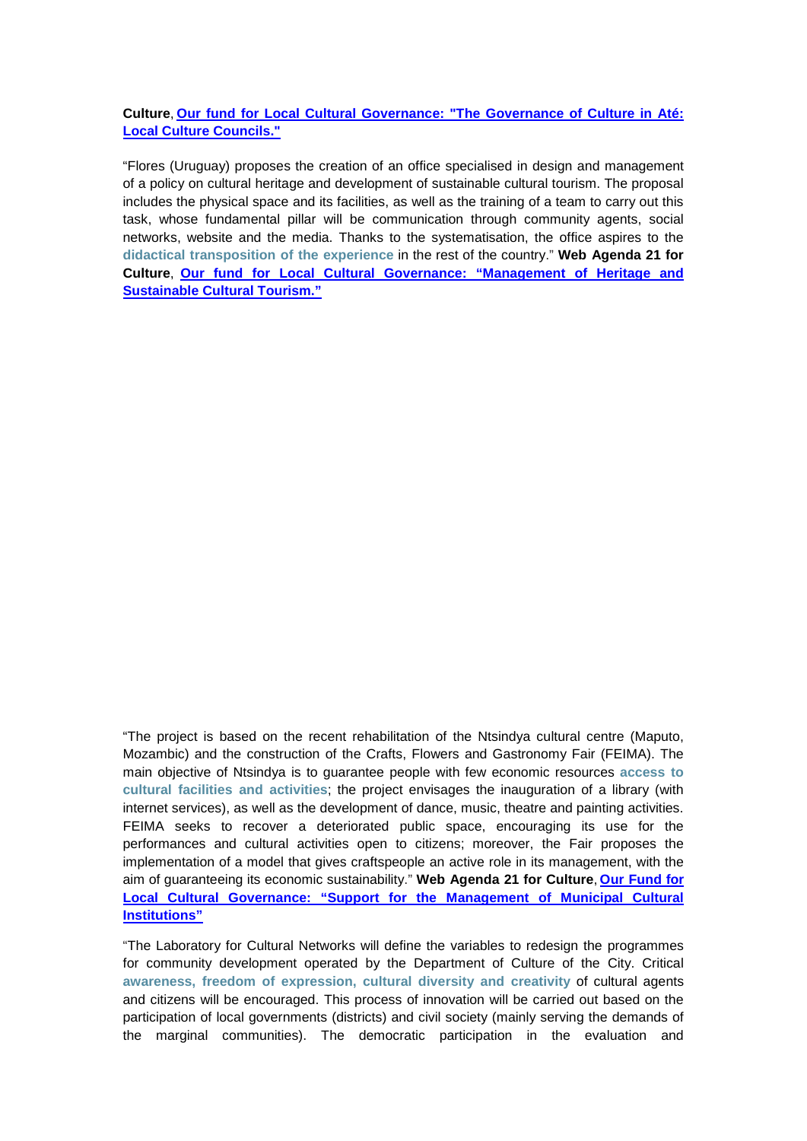**Culture**, **Our fund for Local Cultural Governance: ["The Governance of Culture in Até:](http://www.agenda21culture.net/index.php/54-official-documentation-all/projects-all/399-ate-peru-the-governance-of-culture-in-ate-local-culture-councils)  [Local Culture Councils."](http://www.agenda21culture.net/index.php/54-official-documentation-all/projects-all/399-ate-peru-the-governance-of-culture-in-ate-local-culture-councils)**

"Flores (Uruguay) proposes the creation of an office specialised in design and management of a policy on cultural heritage and development of sustainable cultural tourism. The proposal includes the physical space and its facilities, as well as the training of a team to carry out this task, whose fundamental pillar will be communication through community agents, social networks, website and the media. Thanks to the systematisation, the office aspires to the **didactical transposition of the experience** in the rest of the country." **Web Agenda 21 for Culture**, **Our fund for Local Cultural Governance: ["Management of Heritage and](http://www.agenda21culture.net/index.php/54-official-documentation-all/projects-all/398-flores-uruguay-management-of-heritage-and-sustainable-cultural-tourism)  [Sustainable Cultural Tourism."](http://www.agenda21culture.net/index.php/54-official-documentation-all/projects-all/398-flores-uruguay-management-of-heritage-and-sustainable-cultural-tourism)**

"The project is based on the recent rehabilitation of the Ntsindya cultural centre (Maputo, Mozambic) and the construction of the Crafts, Flowers and Gastronomy Fair (FEIMA). The main objective of Ntsindya is to guarantee people with few economic resources **access to cultural facilities and activities**; the project envisages the inauguration of a library (with internet services), as well as the development of dance, music, theatre and painting activities. FEIMA seeks to recover a deteriorated public space, encouraging its use for the performances and cultural activities open to citizens; moreover, the Fair proposes the implementation of a model that gives craftspeople an active role in its management, with the aim of guaranteeing its economic sustainability." **Web Agenda 21 for Culture**, **[Our Fund for](http://www.agenda21culture.net/index.php/54-official-documentation-all/projects-all/396-maputo-mozambique-support-for-the-management-of-municipal-cultural-institutions)  Local Cultural Governance: ["Support for the Management of Municipal Cultural](http://www.agenda21culture.net/index.php/54-official-documentation-all/projects-all/396-maputo-mozambique-support-for-the-management-of-municipal-cultural-institutions)  [Institutions"](http://www.agenda21culture.net/index.php/54-official-documentation-all/projects-all/396-maputo-mozambique-support-for-the-management-of-municipal-cultural-institutions)**

"The Laboratory for Cultural Networks will define the variables to redesign the programmes for community development operated by the Department of Culture of the City. Critical **awareness, freedom of expression, cultural diversity and creativity** of cultural agents and citizens will be encouraged. This process of innovation will be carried out based on the participation of local governments (districts) and civil society (mainly serving the demands of the marginal communities). The democratic participation in the evaluation and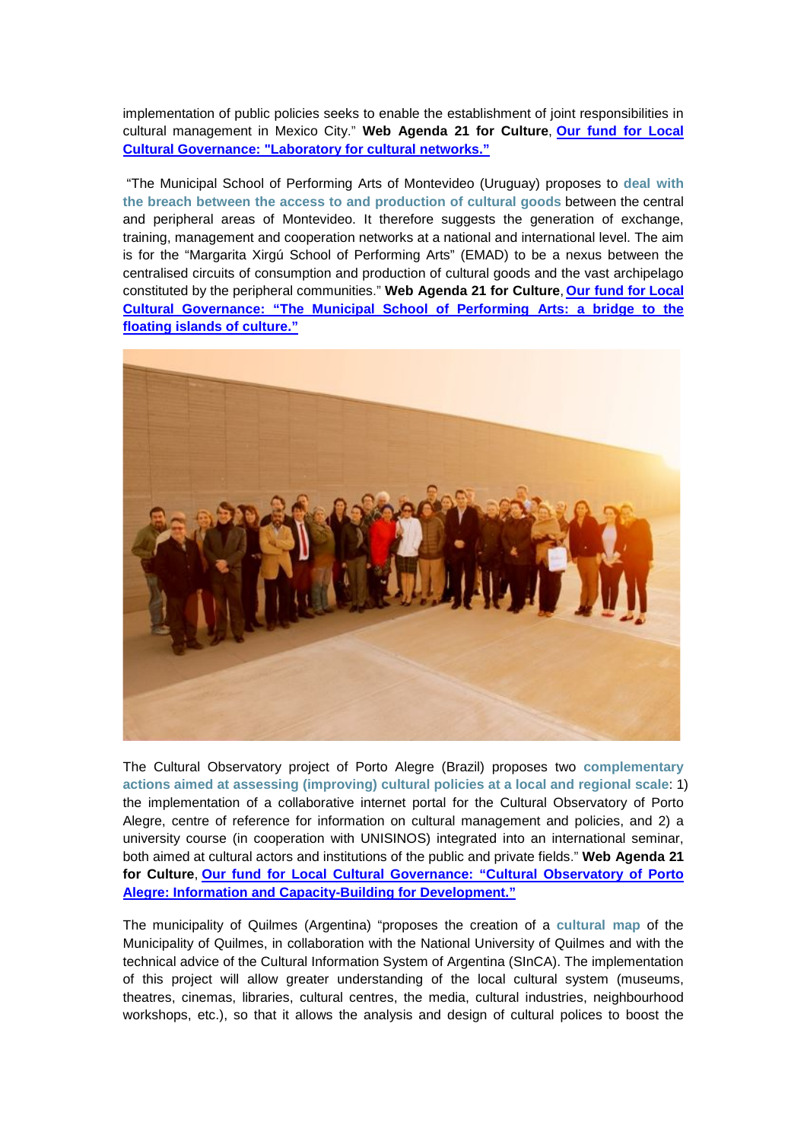implementation of public policies seeks to enable the establishment of joint responsibilities in cultural management in Mexico City." **Web Agenda 21 for Culture**, **[Our fund for Local](http://www.agenda21culture.net/index.php/54-official-documentation-all/projects-all/395-mexico-city-mexico-laboratory-for-cultural-networks)  Cultural Governance: ["Laboratory for cultural networks."](http://www.agenda21culture.net/index.php/54-official-documentation-all/projects-all/395-mexico-city-mexico-laboratory-for-cultural-networks)**

"The Municipal School of Performing Arts of Montevideo (Uruguay) proposes to **deal with the breach between the access to and production of cultural goods** between the central and peripheral areas of Montevideo. It therefore suggests the generation of exchange, training, management and cooperation networks at a national and international level. The aim is for the "Margarita Xirgú School of Performing Arts" (EMAD) to be a nexus between the centralised circuits of consumption and production of cultural goods and the vast archipelago constituted by the peripheral communities." **Web Agenda 21 for Culture**, **[Our fund for Local](http://www.agenda21culture.net/index.php/54-official-documentation-all/projects-all/394-montevideo-uruguay-the-municipal-school-of-performing-arts-a-bridge-to-the-floating-islands-of-culture)  Cultural Governance: ["The Municipal School of Performing Arts: a bridge to the](http://www.agenda21culture.net/index.php/54-official-documentation-all/projects-all/394-montevideo-uruguay-the-municipal-school-of-performing-arts-a-bridge-to-the-floating-islands-of-culture)  [floating islands of culture."](http://www.agenda21culture.net/index.php/54-official-documentation-all/projects-all/394-montevideo-uruguay-the-municipal-school-of-performing-arts-a-bridge-to-the-floating-islands-of-culture)**



The Cultural Observatory project of Porto Alegre (Brazil) proposes two **complementary actions aimed at assessing (improving) cultural policies at a local and regional scale**: 1) the implementation of a collaborative internet portal for the Cultural Observatory of Porto Alegre, centre of reference for information on cultural management and policies, and 2) a university course (in cooperation with UNISINOS) integrated into an international seminar, both aimed at cultural actors and institutions of the public and private fields." **Web Agenda 21 for Culture**, **Our fund for Local Cultural Governance: ["Cultural Observatory of Porto](http://www.agenda21culture.net/index.php/54-official-documentation-all/projects-all/393-porto-alegre-brazil-cultural-observatory-of-porto-alegre-information-and-capacity-building-for-development)  [Alegre: Information and Capacity-Building](http://www.agenda21culture.net/index.php/54-official-documentation-all/projects-all/393-porto-alegre-brazil-cultural-observatory-of-porto-alegre-information-and-capacity-building-for-development) for Development."**

The municipality of Quilmes (Argentina) "proposes the creation of a **cultural map** of the Municipality of Quilmes, in collaboration with the National University of Quilmes and with the technical advice of the Cultural Information System of Argentina (SInCA). The implementation of this project will allow greater understanding of the local cultural system (museums, theatres, cinemas, libraries, cultural centres, the media, cultural industries, neighbourhood workshops, etc.), so that it allows the analysis and design of cultural polices to boost the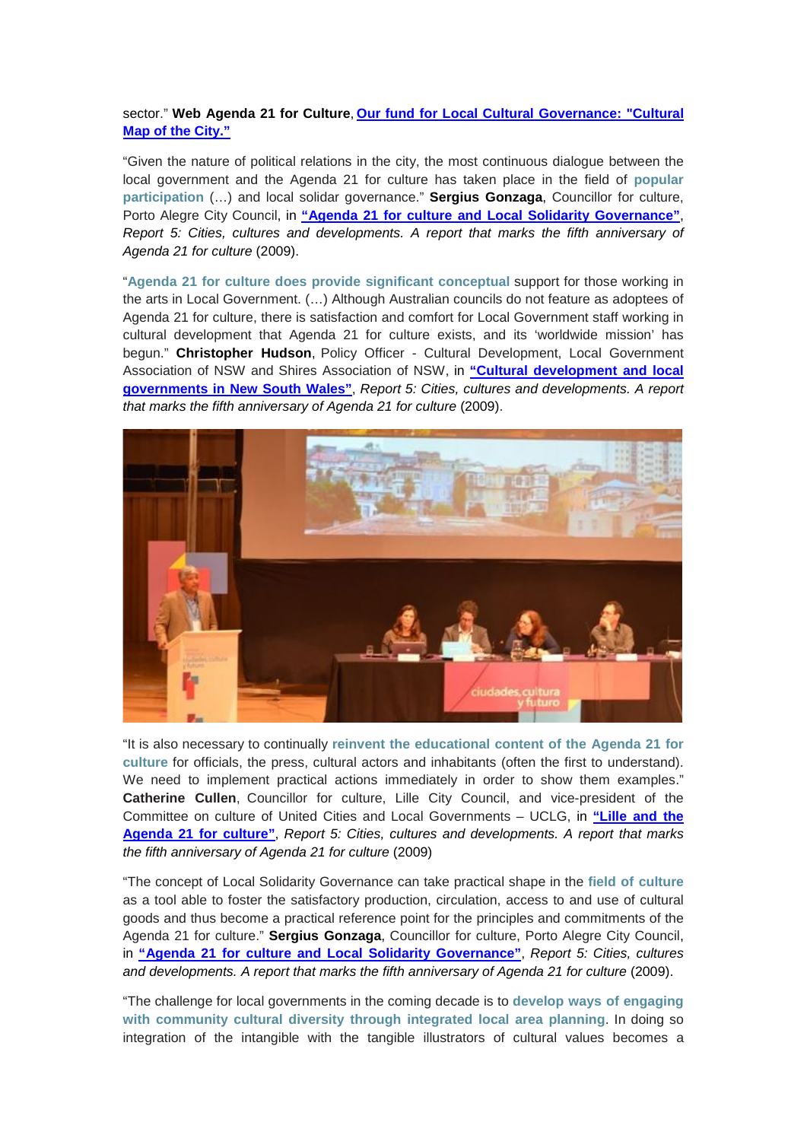## sector." **Web Agenda 21 for Culture**, **[Our fund for Local Cultural Governance:](http://www.agenda21culture.net/index.php/54-official-documentation-all/projects-all/392-quilmes-argentina-cultural-map-of-the-city) "Cultural [Map of the City."](http://www.agenda21culture.net/index.php/54-official-documentation-all/projects-all/392-quilmes-argentina-cultural-map-of-the-city)**

"Given the nature of political relations in the city, the most continuous dialogue between the local government and the Agenda 21 for culture has taken place in the field of **popular participation** (…) and local solidar governance." **Sergius Gonzaga**, Councillor for culture, Porto Alegre City Council, in **["Agenda 21 for culture and Local Solidarity Governance"](http://www.agenda21culture.net/index.php/46-official-documentation-all/reports-all/365-report-5-cities-cultures-and-developments-a-report-that-marks-the-fifth-anniversary-of-agenda-21-for-culture)**, *Report 5: Cities, cultures and developments. A report that marks the fifth anniversary of Agenda 21 for culture* (2009).

"**Agenda 21 for culture does provide significant conceptual** support for those working in the arts in Local Government. (…) Although Australian councils do not feature as adoptees of Agenda 21 for culture, there is satisfaction and comfort for Local Government staff working in cultural development that Agenda 21 for culture exists, and its 'worldwide mission' has begun." **Christopher Hudson**, Policy Officer - Cultural Development, Local Government Association of NSW and Shires Association of NSW, in **["Cultural development and local](http://www.agenda21culture.net/index.php/46-official-documentation-all/reports-all/365-report-5-cities-cultures-and-developments-a-report-that-marks-the-fifth-anniversary-of-agenda-21-for-culture)  governments in [New South Wales"](http://www.agenda21culture.net/index.php/46-official-documentation-all/reports-all/365-report-5-cities-cultures-and-developments-a-report-that-marks-the-fifth-anniversary-of-agenda-21-for-culture)**, *Report 5: Cities, cultures and developments. A report that marks the fifth anniversary of Agenda 21 for culture* (2009).



"It is also necessary to continually **reinvent the educational content of the Agenda 21 for culture** for officials, the press, cultural actors and inhabitants (often the first to understand). We need to implement practical actions immediately in order to show them examples." **Catherine Cullen**, Councillor for culture, Lille City Council, and vice-president of the Committee on culture of United Cities and Local Governments – UCLG, in **["Lille and the](http://www.agenda21culture.net/index.php/46-official-documentation-all/reports-all/365-report-5-cities-cultures-and-developments-a-report-that-marks-the-fifth-anniversary-of-agenda-21-for-culture)  [Agenda 21 for culture"](http://www.agenda21culture.net/index.php/46-official-documentation-all/reports-all/365-report-5-cities-cultures-and-developments-a-report-that-marks-the-fifth-anniversary-of-agenda-21-for-culture)**, *Report 5: Cities, cultures and developments. A report that marks the fifth anniversary of Agenda 21 for culture* (2009)

"The concept of Local Solidarity Governance can take practical shape in the **field of culture** as a tool able to foster the satisfactory production, circulation, access to and use of cultural goods and thus become a practical reference point for the principles and commitments of the Agenda 21 for culture." **Sergius Gonzaga**, Councillor for culture, Porto Alegre City Council, in **["Agenda 21 for culture and Local Solidarity Governance"](http://www.agenda21culture.net/index.php/46-official-documentation-all/reports-all/365-report-5-cities-cultures-and-developments-a-report-that-marks-the-fifth-anniversary-of-agenda-21-for-culture)**, *Report 5: Cities, cultures*  and developments. A report that marks the fifth anniversary of Agenda 21 for culture (2009).

"The challenge for local governments in the coming decade is to **develop ways of engaging with community cultural diversity through integrated local area planning**. In doing so integration of the intangible with the tangible illustrators of cultural values becomes a